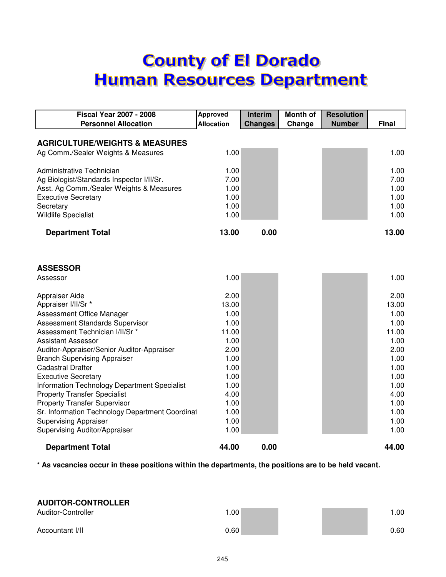# **County of El Dorado Human Resources Department**

| <b>Fiscal Year 2007 - 2008</b>                  | <b>Approved</b>   | <b>Interim</b> | <b>Month of</b> | <b>Resolution</b> |              |
|-------------------------------------------------|-------------------|----------------|-----------------|-------------------|--------------|
| <b>Personnel Allocation</b>                     | <b>Allocation</b> | <b>Changes</b> | Change          | <b>Number</b>     | <b>Final</b> |
|                                                 |                   |                |                 |                   |              |
| <b>AGRICULTURE/WEIGHTS &amp; MEASURES</b>       |                   |                |                 |                   |              |
| Ag Comm./Sealer Weights & Measures              | 1.00              |                |                 |                   | 1.00         |
|                                                 |                   |                |                 |                   |              |
| Administrative Technician                       | 1.00              |                |                 |                   | 1.00         |
| Ag Biologist/Standards Inspector I/II/Sr.       | 7.00              |                |                 |                   | 7.00         |
| Asst. Ag Comm./Sealer Weights & Measures        | 1.00              |                |                 |                   | 1.00         |
| <b>Executive Secretary</b>                      | 1.00              |                |                 |                   | 1.00         |
| Secretary                                       | 1.00              |                |                 |                   | 1.00         |
| <b>Wildlife Specialist</b>                      | 1.00              |                |                 |                   | 1.00         |
| <b>Department Total</b>                         | 13.00             | 0.00           |                 |                   | 13.00        |
|                                                 |                   |                |                 |                   |              |
|                                                 |                   |                |                 |                   |              |
| <b>ASSESSOR</b>                                 |                   |                |                 |                   |              |
| Assessor                                        | 1.00              |                |                 |                   | 1.00         |
| Appraiser Aide                                  | 2.00              |                |                 |                   | 2.00         |
| Appraiser I/II/Sr *                             | 13.00             |                |                 |                   | 13.00        |
| Assessment Office Manager                       | 1.00              |                |                 |                   | 1.00         |
| Assessment Standards Supervisor                 | 1.00              |                |                 |                   | 1.00         |
| Assessment Technician I/II/Sr *                 | 11.00             |                |                 |                   | 11.00        |
| <b>Assistant Assessor</b>                       | 1.00              |                |                 |                   | 1.00         |
| Auditor-Appraiser/Senior Auditor-Appraiser      | 2.00              |                |                 |                   | 2.00         |
| <b>Branch Supervising Appraiser</b>             | 1.00              |                |                 |                   | 1.00         |
| <b>Cadastral Drafter</b>                        | 1.00              |                |                 |                   | 1.00         |
| <b>Executive Secretary</b>                      | 1.00              |                |                 |                   | 1.00         |
| Information Technology Department Specialist    | 1.00              |                |                 |                   | 1.00         |
| <b>Property Transfer Specialist</b>             | 4.00              |                |                 |                   | 4.00         |
| <b>Property Transfer Supervisor</b>             | 1.00              |                |                 |                   | 1.00         |
| Sr. Information Technology Department Coordinal | 1.00              |                |                 |                   | 1.00         |
| <b>Supervising Appraiser</b>                    | 1.00              |                |                 |                   | 1.00         |
| Supervising Auditor/Appraiser                   | 1.00              |                |                 |                   | 1.00         |
| <b>Department Total</b>                         | 44.00             | 0.00           |                 |                   | 44.00        |

**\* As vacancies occur in these positions within the departments, the positions are to be held vacant.**

| <b>AUDITOR-CONTROLLER</b> |      |      |
|---------------------------|------|------|
| Auditor-Controller        | .00  | 1.00 |
| Accountant I/II           | 0.60 | 0.60 |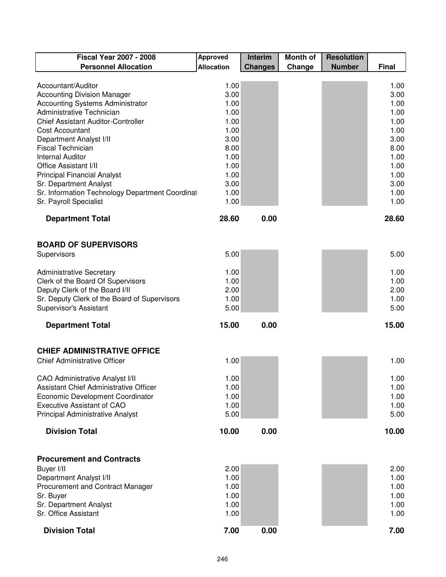| <b>Fiscal Year 2007 - 2008</b>                      | <b>Approved</b>   | <b>Interim</b> | <b>Month of</b> | <b>Resolution</b> |              |
|-----------------------------------------------------|-------------------|----------------|-----------------|-------------------|--------------|
| <b>Personnel Allocation</b>                         | <b>Allocation</b> | <b>Changes</b> | Change          | <b>Number</b>     | <b>Final</b> |
|                                                     |                   |                |                 |                   |              |
| Accountant/Auditor                                  | 1.00              |                |                 |                   | 1.00         |
| <b>Accounting Division Manager</b>                  | 3.00              |                |                 |                   | 3.00         |
| Accounting Systems Administrator                    | 1.00              |                |                 |                   | 1.00         |
| Administrative Technician                           | 1.00              |                |                 |                   | 1.00         |
| <b>Chief Assistant Auditor-Controller</b>           | 1.00              |                |                 |                   | 1.00         |
| <b>Cost Accountant</b>                              | 1.00              |                |                 |                   | 1.00         |
| Department Analyst I/II<br><b>Fiscal Technician</b> | 3.00<br>8.00      |                |                 |                   | 3.00<br>8.00 |
| <b>Internal Auditor</b>                             | 1.00              |                |                 |                   | 1.00         |
| <b>Office Assistant I/II</b>                        | 1.00              |                |                 |                   | 1.00         |
| <b>Principal Financial Analyst</b>                  | 1.00              |                |                 |                   | 1.00         |
| Sr. Department Analyst                              | 3.00              |                |                 |                   | 3.00         |
| Sr. Information Technology Department Coordinal     | 1.00              |                |                 |                   | 1.00         |
| Sr. Payroll Specialist                              | 1.00              |                |                 |                   | 1.00         |
|                                                     |                   |                |                 |                   |              |
| <b>Department Total</b>                             | 28.60             | 0.00           |                 |                   | 28.60        |
| <b>BOARD OF SUPERVISORS</b>                         |                   |                |                 |                   |              |
| Supervisors                                         | 5.00              |                |                 |                   | 5.00         |
|                                                     |                   |                |                 |                   |              |
| <b>Administrative Secretary</b>                     | 1.00              |                |                 |                   | 1.00         |
| Clerk of the Board Of Supervisors                   | 1.00              |                |                 |                   | 1.00         |
| Deputy Clerk of the Board I/II                      | 2.00              |                |                 |                   | 2.00         |
| Sr. Deputy Clerk of the Board of Supervisors        | 1.00              |                |                 |                   | 1.00         |
| Supervisor's Assistant                              | 5.00              |                |                 |                   | 5.00         |
| <b>Department Total</b>                             | 15.00             | 0.00           |                 |                   | 15.00        |
| <b>CHIEF ADMINISTRATIVE OFFICE</b>                  |                   |                |                 |                   |              |
| <b>Chief Administrative Officer</b>                 | 1.00              |                |                 |                   | 1.00         |
|                                                     |                   |                |                 |                   |              |
| <b>CAO Administrative Analyst I/II</b>              | 1.00              |                |                 |                   | 1.00         |
| Assistant Chief Administrative Officer              | 1.00              |                |                 |                   | 1.00         |
| Economic Development Coordinator                    | 1.00              |                |                 |                   | 1.00         |
| <b>Executive Assistant of CAO</b>                   | 1.00              |                |                 |                   | 1.00         |
| Principal Administrative Analyst                    | 5.00              |                |                 |                   | 5.00         |
| <b>Division Total</b>                               | 10.00             | 0.00           |                 |                   | 10.00        |
|                                                     |                   |                |                 |                   |              |
| <b>Procurement and Contracts</b>                    |                   |                |                 |                   |              |
| Buyer I/II                                          | 2.00<br>1.00      |                |                 |                   | 2.00         |
| Department Analyst I/II                             |                   |                |                 |                   | 1.00         |
| Procurement and Contract Manager<br>Sr. Buyer       | 1.00<br>1.00      |                |                 |                   | 1.00<br>1.00 |
| Sr. Department Analyst                              | 1.00              |                |                 |                   | 1.00         |
| Sr. Office Assistant                                | 1.00              |                |                 |                   | 1.00         |
|                                                     |                   |                |                 |                   |              |
| <b>Division Total</b>                               | 7.00              | 0.00           |                 |                   | 7.00         |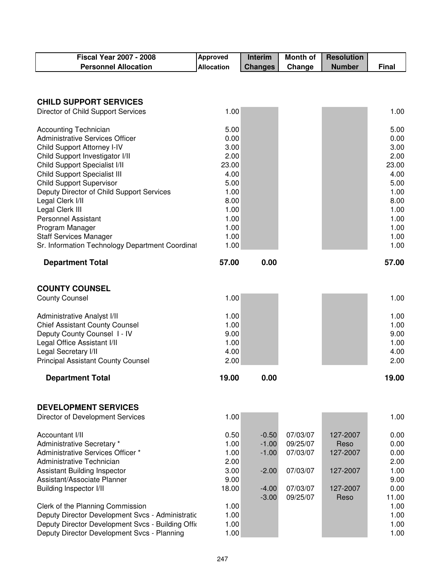| <b>Fiscal Year 2007 - 2008</b>                    | <b>Approved</b>   | Interim        | <b>Month of</b> | <b>Resolution</b> |              |
|---------------------------------------------------|-------------------|----------------|-----------------|-------------------|--------------|
| <b>Personnel Allocation</b>                       | <b>Allocation</b> | <b>Changes</b> | Change          | <b>Number</b>     | <b>Final</b> |
|                                                   |                   |                |                 |                   |              |
|                                                   |                   |                |                 |                   |              |
| <b>CHILD SUPPORT SERVICES</b>                     |                   |                |                 |                   |              |
| Director of Child Support Services                | 1.00              |                |                 |                   | 1.00         |
| <b>Accounting Technician</b>                      | 5.00              |                |                 |                   | 5.00         |
| <b>Administrative Services Officer</b>            | 0.00              |                |                 |                   | 0.00         |
| Child Support Attorney I-IV                       | 3.00              |                |                 |                   | 3.00         |
| Child Support Investigator I/II                   | 2.00              |                |                 |                   | 2.00         |
| Child Support Specialist I/II                     | 23.00             |                |                 |                   | 23.00        |
| <b>Child Support Specialist III</b>               | 4.00              |                |                 |                   | 4.00         |
| <b>Child Support Supervisor</b>                   | 5.00              |                |                 |                   | 5.00         |
| Deputy Director of Child Support Services         | 1.00              |                |                 |                   | 1.00         |
| Legal Clerk I/II                                  | 8.00              |                |                 |                   | 8.00         |
| Legal Clerk III                                   | 1.00              |                |                 |                   | 1.00         |
| <b>Personnel Assistant</b>                        | 1.00              |                |                 |                   | 1.00         |
| Program Manager                                   | 1.00              |                |                 |                   | 1.00         |
| <b>Staff Services Manager</b>                     | 1.00              |                |                 |                   | 1.00         |
| Sr. Information Technology Department Coordinal   | 1.00              |                |                 |                   | 1.00         |
| <b>Department Total</b>                           | 57.00             | 0.00           |                 |                   | 57.00        |
|                                                   |                   |                |                 |                   |              |
| <b>COUNTY COUNSEL</b>                             |                   |                |                 |                   |              |
| <b>County Counsel</b>                             | 1.00              |                |                 |                   | 1.00         |
|                                                   |                   |                |                 |                   |              |
| <b>Administrative Analyst I/II</b>                | 1.00              |                |                 |                   | 1.00         |
| <b>Chief Assistant County Counsel</b>             | 1.00              |                |                 |                   | 1.00         |
| Deputy County Counsel I - IV                      | 9.00              |                |                 |                   | 9.00         |
| Legal Office Assistant I/II                       | 1.00              |                |                 |                   | 1.00         |
| Legal Secretary I/II                              | 4.00              |                |                 |                   | 4.00         |
| <b>Principal Assistant County Counsel</b>         | 2.00              |                |                 |                   | 2.00         |
|                                                   |                   |                |                 |                   |              |
| <b>Department Total</b>                           | 19.00             | 0.00           |                 |                   | 19.00        |
|                                                   |                   |                |                 |                   |              |
| <b>DEVELOPMENT SERVICES</b>                       |                   |                |                 |                   |              |
| Director of Development Services                  | 1.00              |                |                 |                   | 1.00         |
|                                                   |                   |                |                 |                   |              |
| Accountant I/II                                   | 0.50              | $-0.50$        | 07/03/07        | 127-2007          | 0.00         |
| Administrative Secretary *                        | 1.00              | $-1.00$        | 09/25/07        | Reso              | 0.00         |
| Administrative Services Officer *                 | 1.00              | $-1.00$        | 07/03/07        | 127-2007          | 0.00         |
| Administrative Technician                         | 2.00              |                |                 |                   | 2.00         |
| <b>Assistant Building Inspector</b>               | 3.00              | $-2.00$        | 07/03/07        | 127-2007          | 1.00         |
| Assistant/Associate Planner                       | 9.00              |                |                 |                   | 9.00         |
| <b>Building Inspector I/II</b>                    | 18.00             | $-4.00$        | 07/03/07        | 127-2007          | 0.00         |
|                                                   |                   | $-3.00$        | 09/25/07        | Reso              | 11.00        |
| Clerk of the Planning Commission                  | 1.00              |                |                 |                   | 1.00         |
| Deputy Director Development Svcs - Administratic  | 1.00              |                |                 |                   | 1.00         |
| Deputy Director Development Svcs - Building Offic | 1.00              |                |                 |                   | 1.00         |
| Deputy Director Development Svcs - Planning       | 1.00              |                |                 |                   | 1.00         |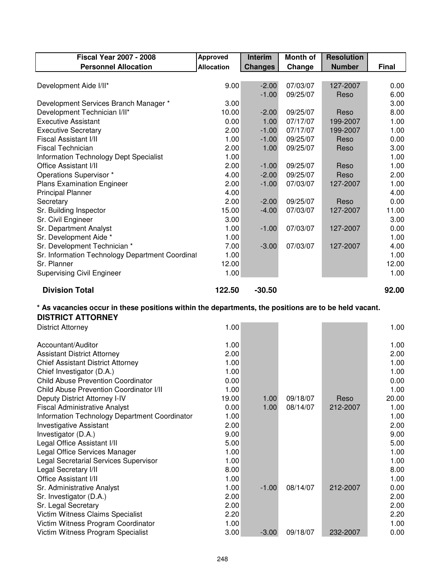| <b>Fiscal Year 2007 - 2008</b>                                                                       | <b>Approved</b>   | <b>Interim</b> | Month of | <b>Resolution</b> |       |
|------------------------------------------------------------------------------------------------------|-------------------|----------------|----------|-------------------|-------|
| <b>Personnel Allocation</b>                                                                          | <b>Allocation</b> | <b>Changes</b> | Change   | <b>Number</b>     | Final |
|                                                                                                      |                   |                |          |                   |       |
| Development Aide I/II*                                                                               | 9.00              | $-2.00$        | 07/03/07 | 127-2007          | 0.00  |
|                                                                                                      |                   | $-1.00$        | 09/25/07 | Reso              | 6.00  |
| Development Services Branch Manager *                                                                | 3.00              |                |          |                   | 3.00  |
| Development Technician I/II*                                                                         | 10.00             | $-2.00$        | 09/25/07 | Reso              | 8.00  |
| <b>Executive Assistant</b>                                                                           | 0.00              | 1.00           | 07/17/07 | 199-2007          | 1.00  |
| <b>Executive Secretary</b>                                                                           | 2.00              | $-1.00$        | 07/17/07 | 199-2007          | 1.00  |
| Fiscal Assistant I/II                                                                                | 1.00              | $-1.00$        | 09/25/07 | Reso              | 0.00  |
| <b>Fiscal Technician</b>                                                                             | 2.00              | 1.00           | 09/25/07 | Reso              | 3.00  |
| <b>Information Technology Dept Specialist</b>                                                        | 1.00              |                |          |                   | 1.00  |
| Office Assistant I/II                                                                                | 2.00              | $-1.00$        | 09/25/07 | Reso              | 1.00  |
| Operations Supervisor *                                                                              | 4.00              | $-2.00$        | 09/25/07 | Reso              | 2.00  |
| <b>Plans Examination Engineer</b>                                                                    | 2.00              | $-1.00$        | 07/03/07 | 127-2007          | 1.00  |
| <b>Principal Planner</b>                                                                             | 4.00              |                |          |                   | 4.00  |
| Secretary                                                                                            | 2.00              | $-2.00$        | 09/25/07 | Reso              | 0.00  |
| Sr. Building Inspector                                                                               | 15.00             | $-4.00$        | 07/03/07 | 127-2007          | 11.00 |
| Sr. Civil Engineer                                                                                   | 3.00              |                |          |                   | 3.00  |
| Sr. Department Analyst                                                                               | 1.00              | $-1.00$        | 07/03/07 | 127-2007          | 0.00  |
| Sr. Development Aide *                                                                               | 1.00              |                |          |                   | 1.00  |
| Sr. Development Technician *                                                                         | 7.00              | $-3.00$        | 07/03/07 | 127-2007          | 4.00  |
| Sr. Information Technology Department Coordinal                                                      | 1.00              |                |          |                   | 1.00  |
| Sr. Planner                                                                                          | 12.00             |                |          |                   | 12.00 |
| <b>Supervising Civil Engineer</b>                                                                    | 1.00              |                |          |                   | 1.00  |
| <b>Division Total</b>                                                                                | 122.50            | $-30.50$       |          |                   | 92.00 |
|                                                                                                      |                   |                |          |                   |       |
| * As vacancies occur in these positions within the departments, the positions are to be held vacant. |                   |                |          |                   |       |
| <b>DISTRICT ATTORNEY</b>                                                                             |                   |                |          |                   |       |
|                                                                                                      |                   |                |          |                   |       |
| <b>District Attorney</b>                                                                             | 1.00              |                |          |                   | 1.00  |
|                                                                                                      |                   |                |          |                   |       |
| Accountant/Auditor                                                                                   | 1.00              |                |          |                   | 1.00  |
| <b>Assistant District Attorney</b>                                                                   | 2.00              |                |          |                   | 2.00  |
| <b>Chief Assistant District Attorney</b>                                                             | 1.00              |                |          |                   | 1.00  |
| Chief Investigator (D.A.)                                                                            | 1.00              |                |          |                   | 1.00  |
| <b>Child Abuse Prevention Coordinator</b>                                                            | 0.00              |                |          |                   | 0.00  |
| Child Abuse Prevention Coordinator I/II                                                              | 1.00              |                |          |                   | 1.00  |
| Deputy District Attorney I-IV                                                                        | 19.00             | 1.00           | 09/18/07 | Reso              | 20.00 |
| <b>Fiscal Administrative Analyst</b>                                                                 | 0.00              | 1.00           | 08/14/07 | 212-2007          | 1.00  |
| Information Technology Department Coordinator                                                        | 1.00              |                |          |                   | 1.00  |
| <b>Investigative Assistant</b>                                                                       | 2.00              |                |          |                   | 2.00  |
| Investigator (D.A.)                                                                                  | 9.00              |                |          |                   | 9.00  |
| Legal Office Assistant I/II                                                                          | 5.00              |                |          |                   | 5.00  |
| Legal Office Services Manager                                                                        | 1.00              |                |          |                   | 1.00  |
| Legal Secretarial Services Supervisor                                                                | 1.00              |                |          |                   | 1.00  |
| Legal Secretary I/II                                                                                 | 8.00              |                |          |                   | 8.00  |
| <b>Office Assistant I/II</b>                                                                         | 1.00              |                |          |                   | 1.00  |
| Sr. Administrative Analyst                                                                           | 1.00              | $-1.00$        | 08/14/07 | 212-2007          | 0.00  |
| Sr. Investigator (D.A.)                                                                              | 2.00              |                |          |                   | 2.00  |
| Sr. Legal Secretary                                                                                  | 2.00              |                |          |                   | 2.00  |
| Victim Witness Claims Specialist                                                                     | 2.20              |                |          |                   | 2.20  |
| Victim Witness Program Coordinator                                                                   | 1.00              |                |          |                   | 1.00  |

٦

Г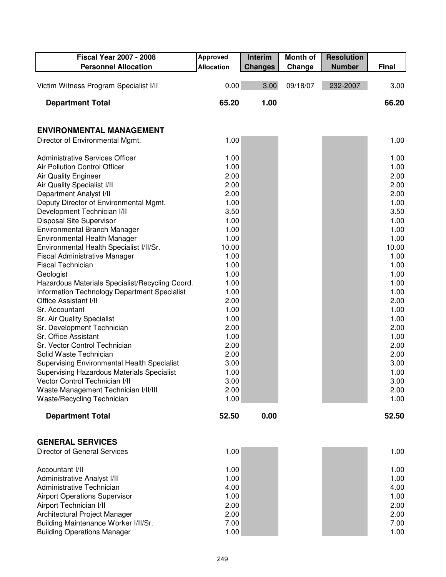| <b>Fiscal Year 2007 - 2008</b>                                     | <b>Approved</b>   | Interim        | <b>Month of</b> | <b>Resolution</b> |              |
|--------------------------------------------------------------------|-------------------|----------------|-----------------|-------------------|--------------|
| <b>Personnel Allocation</b>                                        | <b>Allocation</b> | <b>Changes</b> | Change          | <b>Number</b>     | <b>Final</b> |
|                                                                    |                   |                |                 |                   |              |
| Victim Witness Program Specialist I/II                             | 0.00              | 3.00           | 09/18/07        | 232-2007          | 3.00         |
| <b>Department Total</b>                                            | 65.20             | 1.00           |                 |                   | 66.20        |
| <b>ENVIRONMENTAL MANAGEMENT</b>                                    |                   |                |                 |                   |              |
| Director of Environmental Mgmt.                                    | 1.00              |                |                 |                   | 1.00         |
| <b>Administrative Services Officer</b>                             | 1.00              |                |                 |                   | 1.00         |
| Air Pollution Control Officer                                      | 1.00              |                |                 |                   | 1.00         |
| <b>Air Quality Engineer</b>                                        | 2.00              |                |                 |                   | 2.00         |
| Air Quality Specialist I/II                                        | 2.00              |                |                 |                   | 2.00         |
| Department Analyst I/II                                            | 2.00              |                |                 |                   | 2.00         |
| Deputy Director of Environmental Mgmt.                             | 1.00              |                |                 |                   | 1.00         |
| Development Technician I/II                                        | 3.50              |                |                 |                   | 3.50         |
| Disposal Site Supervisor                                           | 1.00              |                |                 |                   | 1.00         |
| Environmental Branch Manager                                       | 1.00              |                |                 |                   | 1.00         |
| Environmental Health Manager                                       | 1.00              |                |                 |                   | 1.00         |
| Environmental Health Specialist I/II/Sr.                           | 10.00             |                |                 |                   | 10.00        |
| <b>Fiscal Administrative Manager</b>                               | 1.00              |                |                 |                   | 1.00         |
| <b>Fiscal Technician</b>                                           | 1.00              |                |                 |                   | 1.00         |
| Geologist                                                          | 1.00              |                |                 |                   | 1.00         |
| Hazardous Materials Specialist/Recycling Coord.                    | 1.00              |                |                 |                   | 1.00         |
| Information Technology Department Specialist                       | 1.00              |                |                 |                   | 1.00         |
| <b>Office Assistant I/II</b>                                       | 2.00              |                |                 |                   | 2.00         |
| Sr. Accountant                                                     | 1.00              |                |                 |                   | 1.00         |
| Sr. Air Quality Specialist                                         | 1.00              |                |                 |                   | 1.00         |
| Sr. Development Technician                                         | 2.00              |                |                 |                   | 2.00         |
| Sr. Office Assistant                                               | 1.00              |                |                 |                   | 1.00         |
| Sr. Vector Control Technician                                      | 2.00              |                |                 |                   | 2.00         |
| Solid Waste Technician                                             | 2.00              |                |                 |                   | 2.00         |
| <b>Supervising Environmental Health Specialist</b>                 | 3.00              |                |                 |                   | 3.00         |
| Supervising Hazardous Materials Specialist                         | 1.00              |                |                 |                   | 1.00         |
| Vector Control Technician I/II                                     | 3.00              |                |                 |                   | 3.00         |
| Waste Management Technician I/II/III<br>Waste/Recycling Technician | 2.00<br>1.00      |                |                 |                   | 2.00<br>1.00 |
| <b>Department Total</b>                                            | 52.50             | 0.00           |                 |                   | 52.50        |
|                                                                    |                   |                |                 |                   |              |
| <b>GENERAL SERVICES</b>                                            |                   |                |                 |                   |              |
| <b>Director of General Services</b>                                | 1.00              |                |                 |                   | 1.00         |
| Accountant I/II                                                    | 1.00              |                |                 |                   | 1.00         |
| Administrative Analyst I/II                                        | 1.00              |                |                 |                   | 1.00         |
| Administrative Technician                                          | 4.00              |                |                 |                   | 4.00         |
| <b>Airport Operations Supervisor</b>                               | 1.00              |                |                 |                   | 1.00         |
| Airport Technician I/II                                            | 2.00              |                |                 |                   | 2.00         |
| Architectural Project Manager                                      | 2.00              |                |                 |                   | 2.00         |
| Building Maintenance Worker I/II/Sr.                               | 7.00              |                |                 |                   | 7.00         |
| <b>Building Operations Manager</b>                                 | 1.00              |                |                 |                   | 1.00         |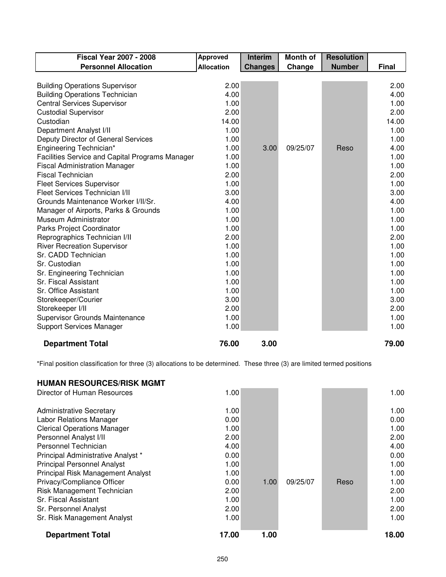| <b>Fiscal Year 2007 - 2008</b>                  | <b>Approved</b>   | <b>Interim</b> | <b>Month of</b> | <b>Resolution</b> |              |
|-------------------------------------------------|-------------------|----------------|-----------------|-------------------|--------------|
| <b>Personnel Allocation</b>                     | <b>Allocation</b> | <b>Changes</b> | Change          | <b>Number</b>     | <b>Final</b> |
|                                                 |                   |                |                 |                   |              |
| <b>Building Operations Supervisor</b>           | 2.00              |                |                 |                   | 2.00         |
| <b>Building Operations Technician</b>           | 4.00              |                |                 |                   | 4.00         |
| <b>Central Services Supervisor</b>              | 1.00              |                |                 |                   | 1.00         |
| <b>Custodial Supervisor</b>                     | 2.00              |                |                 |                   | 2.00         |
| Custodian                                       | 14.00             |                |                 |                   | 14.00        |
| Department Analyst I/II                         | 1.00              |                |                 |                   | 1.00         |
| Deputy Director of General Services             | 1.00              |                |                 |                   | 1.00         |
| Engineering Technician*                         | 1.00              | 3.00           | 09/25/07        | Reso              | 4.00         |
| Facilities Service and Capital Programs Manager | 1.00              |                |                 |                   | 1.00         |
| <b>Fiscal Administration Manager</b>            | 1.00              |                |                 |                   | 1.00         |
| <b>Fiscal Technician</b>                        | 2.00              |                |                 |                   | 2.00         |
| <b>Fleet Services Supervisor</b>                | 1.00              |                |                 |                   | 1.00         |
| Fleet Services Technician I/II                  | 3.00              |                |                 |                   | 3.00         |
| Grounds Maintenance Worker I/II/Sr.             | 4.00              |                |                 |                   | 4.00         |
| Manager of Airports, Parks & Grounds            | 1.00              |                |                 |                   | 1.00         |
| Museum Administrator                            | 1.00              |                |                 |                   | 1.00         |
| Parks Project Coordinator                       | 1.00              |                |                 |                   | 1.00         |
| Reprographics Technician I/II                   | 2.00              |                |                 |                   | 2.00         |
| <b>River Recreation Supervisor</b>              | 1.00              |                |                 |                   | 1.00         |
| Sr. CADD Technician                             | 1.00              |                |                 |                   | 1.00         |
| Sr. Custodian                                   | 1.00              |                |                 |                   | 1.00         |
| Sr. Engineering Technician                      | 1.00              |                |                 |                   | 1.00         |
| Sr. Fiscal Assistant                            | 1.00              |                |                 |                   | 1.00         |
| Sr. Office Assistant                            | 1.00              |                |                 |                   | 1.00         |
| Storekeeper/Courier                             | 3.00              |                |                 |                   | 3.00         |
| Storekeeper I/II                                | 2.00              |                |                 |                   | 2.00         |
| Supervisor Grounds Maintenance                  | 1.00              |                |                 |                   | 1.00         |
| <b>Support Services Manager</b>                 | 1.00              |                |                 |                   | 1.00         |
| <b>Department Total</b>                         | 76.00             | 3.00           |                 |                   | 79.00        |

\*Final position classification for three (3) allocations to be determined. These three (3) are limited termed positions

#### **HUMAN RESOURCES/RISK MGMT**

| <b>Department Total</b>            | 17.00 | 1.00 |          |      | 18.00 |
|------------------------------------|-------|------|----------|------|-------|
|                                    |       |      |          |      |       |
| Sr. Risk Management Analyst        | 1.00  |      |          |      | 1.00  |
| Sr. Personnel Analyst              | 2.00  |      |          |      | 2.00  |
| Sr. Fiscal Assistant               | 1.00  |      |          |      | 1.00  |
| Risk Management Technician         | 2.00  |      |          |      | 2.00  |
| Privacy/Compliance Officer         | 0.00  | 1.00 | 09/25/07 | Reso | 1.00  |
| Principal Risk Management Analyst  | 1.00  |      |          |      | 1.00  |
| <b>Principal Personnel Analyst</b> | 1.00  |      |          |      | 1.00  |
| Principal Administrative Analyst * | 0.00  |      |          |      | 0.00  |
| Personnel Technician               | 4.00  |      |          |      | 4.00  |
| Personnel Analyst I/II             | 2.00  |      |          |      | 2.00  |
| <b>Clerical Operations Manager</b> | 1.00  |      |          |      | 1.00  |
| <b>Labor Relations Manager</b>     | 0.00  |      |          |      | 0.00  |
| <b>Administrative Secretary</b>    | 1.00  |      |          |      | 1.00  |
| Director of Human Resources        | 1.00  |      |          |      | 1.00  |
|                                    |       |      |          |      |       |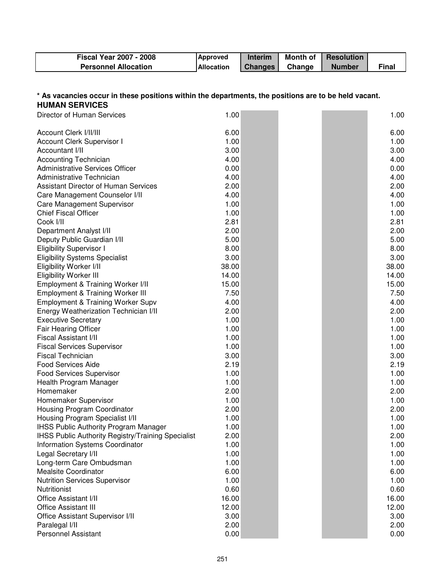| <b>Fiscal Year 2007 - 2008</b> | <b>Approved</b>   | <b>Interim</b> | Month of | <b>Resolution</b> |       |
|--------------------------------|-------------------|----------------|----------|-------------------|-------|
| <b>Personnel Allocation</b>    | <b>Allocation</b> | <b>Changes</b> | Change   | <b>Number</b>     | Final |

#### **\* As vacancies occur in these positions within the departments, the positions are to be held vacant. HUMAN SERVICES**

| Director of Human Services                         | 1.00  |  | 1.00  |
|----------------------------------------------------|-------|--|-------|
| Account Clerk I/II/III                             | 6.00  |  | 6.00  |
| Account Clerk Supervisor I                         | 1.00  |  | 1.00  |
| Accountant I/II                                    | 3.00  |  | 3.00  |
| <b>Accounting Technician</b>                       | 4.00  |  | 4.00  |
| <b>Administrative Services Officer</b>             | 0.00  |  | 0.00  |
| Administrative Technician                          | 4.00  |  | 4.00  |
| <b>Assistant Director of Human Services</b>        | 2.00  |  | 2.00  |
| Care Management Counselor I/II                     | 4.00  |  | 4.00  |
| Care Management Supervisor                         | 1.00  |  | 1.00  |
| <b>Chief Fiscal Officer</b>                        | 1.00  |  | 1.00  |
| Cook I/II                                          | 2.81  |  | 2.81  |
| Department Analyst I/II                            | 2.00  |  | 2.00  |
| Deputy Public Guardian I/II                        | 5.00  |  | 5.00  |
| <b>Eligibility Supervisor I</b>                    | 8.00  |  | 8.00  |
| <b>Eligibility Systems Specialist</b>              | 3.00  |  | 3.00  |
| Eligibility Worker I/II                            | 38.00 |  | 38.00 |
| <b>Eligibility Worker III</b>                      | 14.00 |  | 14.00 |
| Employment & Training Worker I/II                  | 15.00 |  | 15.00 |
| <b>Employment &amp; Training Worker III</b>        | 7.50  |  | 7.50  |
| <b>Employment &amp; Training Worker Supv</b>       | 4.00  |  | 4.00  |
| Energy Weatherization Technician I/II              | 2.00  |  | 2.00  |
| <b>Executive Secretary</b>                         | 1.00  |  | 1.00  |
| <b>Fair Hearing Officer</b>                        | 1.00  |  | 1.00  |
| Fiscal Assistant I/II                              | 1.00  |  | 1.00  |
| <b>Fiscal Services Supervisor</b>                  | 1.00  |  | 1.00  |
| <b>Fiscal Technician</b>                           | 3.00  |  | 3.00  |
| <b>Food Services Aide</b>                          | 2.19  |  | 2.19  |
| <b>Food Services Supervisor</b>                    | 1.00  |  | 1.00  |
| Health Program Manager                             | 1.00  |  | 1.00  |
| Homemaker                                          | 2.00  |  | 2.00  |
| Homemaker Supervisor                               | 1.00  |  | 1.00  |
| Housing Program Coordinator                        | 2.00  |  | 2.00  |
| Housing Program Specialist I/II                    | 1.00  |  | 1.00  |
| <b>IHSS Public Authority Program Manager</b>       | 1.00  |  | 1.00  |
| IHSS Public Authority Registry/Training Specialist | 2.00  |  | 2.00  |
| Information Systems Coordinator                    | 1.00  |  | 1.00  |
| Legal Secretary I/II                               | 1.00  |  | 1.00  |
| Long-term Care Ombudsman                           | 1.00  |  | 1.00  |
| <b>Mealsite Coordinator</b>                        | 6.00  |  | 6.00  |
| <b>Nutrition Services Supervisor</b>               | 1.00  |  | 1.00  |
| <b>Nutritionist</b>                                | 0.60  |  | 0.60  |
| Office Assistant I/II                              | 16.00 |  | 16.00 |
| <b>Office Assistant III</b>                        | 12.00 |  | 12.00 |
| Office Assistant Supervisor I/II                   | 3.00  |  | 3.00  |
| Paralegal I/II                                     | 2.00  |  | 2.00  |
| <b>Personnel Assistant</b>                         | 0.00  |  | 0.00  |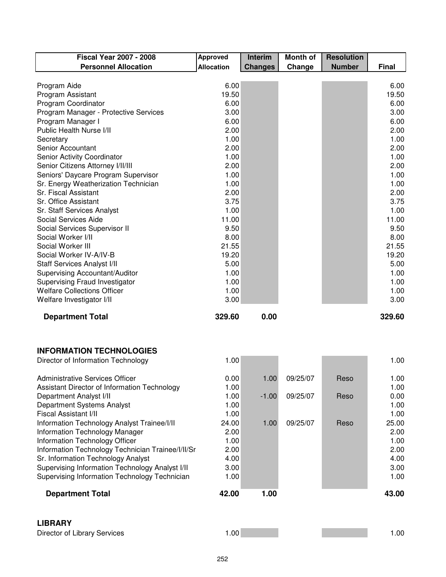| <b>Fiscal Year 2007 - 2008</b>                    | <b>Approved</b>   | Interim        | <b>Month of</b> | <b>Resolution</b> |        |
|---------------------------------------------------|-------------------|----------------|-----------------|-------------------|--------|
| <b>Personnel Allocation</b>                       | <b>Allocation</b> | <b>Changes</b> | Change          | <b>Number</b>     | Final  |
|                                                   |                   |                |                 |                   |        |
| Program Aide                                      | 6.00              |                |                 |                   | 6.00   |
| Program Assistant                                 | 19.50             |                |                 |                   | 19.50  |
| Program Coordinator                               | 6.00              |                |                 |                   | 6.00   |
| Program Manager - Protective Services             | 3.00              |                |                 |                   | 3.00   |
| Program Manager I                                 | 6.00              |                |                 |                   | 6.00   |
| Public Health Nurse I/II                          | 2.00              |                |                 |                   | 2.00   |
| Secretary                                         | 1.00              |                |                 |                   | 1.00   |
| Senior Accountant                                 | 2.00              |                |                 |                   | 2.00   |
| Senior Activity Coordinator                       | 1.00              |                |                 |                   | 1.00   |
| Senior Citizens Attorney I/II/III                 | 2.00              |                |                 |                   | 2.00   |
| Seniors' Daycare Program Supervisor               | 1.00              |                |                 |                   | 1.00   |
| Sr. Energy Weatherization Technician              | 1.00              |                |                 |                   | 1.00   |
| Sr. Fiscal Assistant                              | 2.00              |                |                 |                   | 2.00   |
| Sr. Office Assistant                              | 3.75              |                |                 |                   | 3.75   |
| Sr. Staff Services Analyst                        | 1.00              |                |                 |                   | 1.00   |
| Social Services Aide                              | 11.00             |                |                 |                   | 11.00  |
| Social Services Supervisor II                     | 9.50              |                |                 |                   | 9.50   |
| Social Worker I/II                                | 8.00              |                |                 |                   | 8.00   |
| Social Worker III                                 | 21.55             |                |                 |                   | 21.55  |
| Social Worker IV-A/IV-B                           | 19.20             |                |                 |                   | 19.20  |
| Staff Services Analyst I/II                       | 5.00              |                |                 |                   | 5.00   |
| Supervising Accountant/Auditor                    | 1.00              |                |                 |                   | 1.00   |
| Supervising Fraud Investigator                    | 1.00              |                |                 |                   | 1.00   |
| <b>Welfare Collections Officer</b>                | 1.00              |                |                 |                   | 1.00   |
| Welfare Investigator I/II                         | 3.00              |                |                 |                   | 3.00   |
| <b>Department Total</b>                           | 329.60            | 0.00           |                 |                   | 329.60 |
|                                                   |                   |                |                 |                   |        |
|                                                   |                   |                |                 |                   |        |
|                                                   |                   |                |                 |                   |        |
| <b>INFORMATION TECHNOLOGIES</b>                   |                   |                |                 |                   |        |
| Director of Information Technology                | 1.00              |                |                 |                   | 1.00   |
|                                                   |                   |                |                 |                   |        |
| <b>Administrative Services Officer</b>            | 0.00              | 1.00.          | 09/25/07        | Reso              | 1.00   |
| Assistant Director of Information Technology      | 1.00              |                |                 |                   | 1.00   |
| Department Analyst I/II                           | 1.00              | $-1.00$        | 09/25/07        | Reso              | 0.00   |
| Department Systems Analyst                        | 1.00              |                |                 |                   | 1.00   |
| Fiscal Assistant I/II                             | 1.00              |                |                 |                   | 1.00   |
| Information Technology Analyst Trainee/I/II       | 24.00             | 1.00           | 09/25/07        | Reso              | 25.00  |
| Information Technology Manager                    | 2.00              |                |                 |                   | 2.00   |
| Information Technology Officer                    | 1.00              |                |                 |                   | 1.00   |
| Information Technology Technician Trainee/I/II/Sr | 2.00              |                |                 |                   | 2.00   |
| Sr. Information Technology Analyst                | 4.00              |                |                 |                   | 4.00   |
| Supervising Information Technology Analyst I/II   | 3.00              |                |                 |                   | 3.00   |
| Supervising Information Technology Technician     | 1.00              |                |                 |                   | 1.00   |
| <b>Department Total</b>                           | 42.00             | 1.00           |                 |                   | 43.00  |
|                                                   |                   |                |                 |                   |        |

## **LIBRARY**

| Director of Library Services |  |  |
|------------------------------|--|--|
|------------------------------|--|--|

| ---------                    |     |  |
|------------------------------|-----|--|
| Director of Library Services | .00 |  |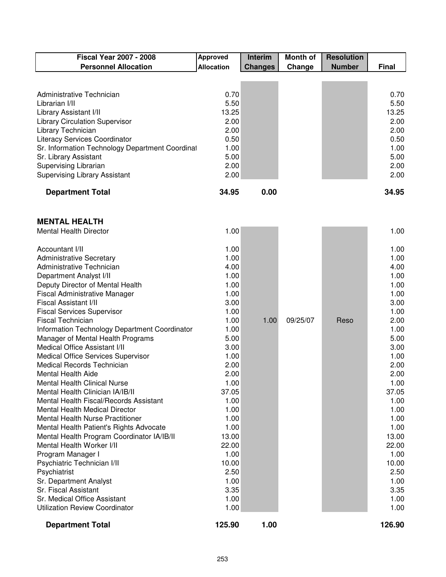| <b>Fiscal Year 2007 - 2008</b>                  | <b>Approved</b>   | <b>Interim</b> | <b>Month of</b> | <b>Resolution</b> |              |
|-------------------------------------------------|-------------------|----------------|-----------------|-------------------|--------------|
| <b>Personnel Allocation</b>                     | <b>Allocation</b> | <b>Changes</b> | Change          | <b>Number</b>     | <b>Final</b> |
|                                                 |                   |                |                 |                   |              |
|                                                 |                   |                |                 |                   |              |
| Administrative Technician                       | 0.70              |                |                 |                   | 0.70         |
| Librarian I/II                                  | 5.50              |                |                 |                   | 5.50         |
| Library Assistant I/II                          | 13.25             |                |                 |                   | 13.25        |
| <b>Library Circulation Supervisor</b>           | 2.00              |                |                 |                   | 2.00         |
| Library Technician                              | 2.00              |                |                 |                   | 2.00         |
| <b>Literacy Services Coordinator</b>            | 0.50              |                |                 |                   | 0.50         |
| Sr. Information Technology Department Coordinal | 1.00              |                |                 |                   | 1.00         |
| Sr. Library Assistant                           | 5.00              |                |                 |                   | 5.00         |
| Supervising Librarian                           | 2.00              |                |                 |                   | 2.00         |
| <b>Supervising Library Assistant</b>            | 2.00              |                |                 |                   | 2.00         |
| <b>Department Total</b>                         | 34.95             | 0.00           |                 |                   | 34.95        |

#### **MENTAL HEALTH**

| <b>Mental Health Director</b>                 | 1.00   |      |          |      | 1.00   |
|-----------------------------------------------|--------|------|----------|------|--------|
| Accountant I/II                               | 1.00   |      |          |      | 1.00   |
| <b>Administrative Secretary</b>               | 1.00   |      |          |      | 1.00   |
| Administrative Technician                     | 4.00   |      |          |      | 4.00   |
| Department Analyst I/II                       | 1.00   |      |          |      | 1.00   |
| Deputy Director of Mental Health              | 1.00   |      |          |      | 1.00   |
| <b>Fiscal Administrative Manager</b>          | 1.00   |      |          |      | 1.00   |
| Fiscal Assistant I/II                         | 3.00   |      |          |      | 3.00   |
| <b>Fiscal Services Supervisor</b>             | 1.00   |      |          |      | 1.00   |
| <b>Fiscal Technician</b>                      | 1.00   | 1.00 | 09/25/07 | Reso | 2.00   |
| Information Technology Department Coordinator | 1.00   |      |          |      | 1.00   |
| Manager of Mental Health Programs             | 5.00   |      |          |      | 5.00   |
| Medical Office Assistant I/II                 | 3.00   |      |          |      | 3.00   |
| Medical Office Services Supervisor            | 1.00   |      |          |      | 1.00   |
| Medical Records Technician                    | 2.00   |      |          |      | 2.00   |
| Mental Health Aide                            | 2.00   |      |          |      | 2.00   |
| <b>Mental Health Clinical Nurse</b>           | 1.00   |      |          |      | 1.00   |
| Mental Health Clinician IA/IB/II              | 37.05  |      |          |      | 37.05  |
| Mental Health Fiscal/Records Assistant        | 1.00   |      |          |      | 1.00   |
| <b>Mental Health Medical Director</b>         | 1.00   |      |          |      | 1.00   |
| <b>Mental Health Nurse Practitioner</b>       | 1.00   |      |          |      | 1.00   |
| Mental Health Patient's Rights Advocate       | 1.00   |      |          |      | 1.00   |
| Mental Health Program Coordinator IA/IB/II    | 13.00  |      |          |      | 13.00  |
| Mental Health Worker I/II                     | 22.00  |      |          |      | 22.00  |
| Program Manager I                             | 1.00   |      |          |      | 1.00   |
| Psychiatric Technician I/II                   | 10.00  |      |          |      | 10.00  |
| Psychiatrist                                  | 2.50   |      |          |      | 2.50   |
| Sr. Department Analyst                        | 1.00   |      |          |      | 1.00   |
| Sr. Fiscal Assistant                          | 3.35   |      |          |      | 3.35   |
| Sr. Medical Office Assistant                  | 1.00   |      |          |      | 1.00   |
| <b>Utilization Review Coordinator</b>         | 1.00   |      |          |      | 1.00   |
| <b>Department Total</b>                       | 125.90 | 1.00 |          |      | 126.90 |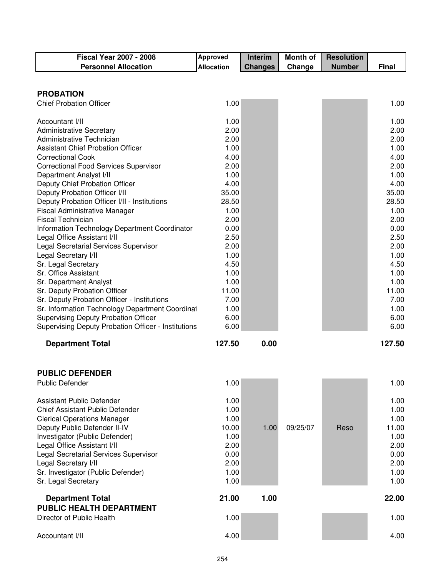| <b>Fiscal Year 2007 - 2008</b>                                 | <b>Approved</b>   | <b>Interim</b> | <b>Month of</b> | <b>Resolution</b> |               |
|----------------------------------------------------------------|-------------------|----------------|-----------------|-------------------|---------------|
| <b>Personnel Allocation</b>                                    | <b>Allocation</b> | <b>Changes</b> | Change          | <b>Number</b>     | <b>Final</b>  |
|                                                                |                   |                |                 |                   |               |
|                                                                |                   |                |                 |                   |               |
| <b>PROBATION</b>                                               |                   |                |                 |                   |               |
| <b>Chief Probation Officer</b>                                 | 1.00              |                |                 |                   | 1.00          |
| Accountant I/II                                                | 1.00              |                |                 |                   | 1.00          |
| <b>Administrative Secretary</b>                                | 2.00              |                |                 |                   | 2.00          |
| Administrative Technician                                      | 2.00              |                |                 |                   | 2.00          |
| <b>Assistant Chief Probation Officer</b>                       | 1.00              |                |                 |                   | 1.00          |
| <b>Correctional Cook</b>                                       | 4.00              |                |                 |                   | 4.00          |
| <b>Correctional Food Services Supervisor</b>                   | 2.00              |                |                 |                   | 2.00          |
| Department Analyst I/II                                        | 1.00              |                |                 |                   | 1.00          |
| Deputy Chief Probation Officer                                 | 4.00              |                |                 |                   | 4.00          |
| Deputy Probation Officer I/II                                  | 35.00             |                |                 |                   | 35.00         |
| Deputy Probation Officer I/II - Institutions                   | 28.50             |                |                 |                   | 28.50         |
| <b>Fiscal Administrative Manager</b>                           | 1.00              |                |                 |                   | 1.00          |
| <b>Fiscal Technician</b>                                       | 2.00              |                |                 |                   | 2.00          |
| Information Technology Department Coordinator                  | 0.00              |                |                 |                   | 0.00          |
| Legal Office Assistant I/II                                    | 2.50              |                |                 |                   | 2.50          |
| Legal Secretarial Services Supervisor                          | 2.00              |                |                 |                   | 2.00          |
| Legal Secretary I/II                                           | 1.00              |                |                 |                   | 1.00          |
| Sr. Legal Secretary                                            | 4.50              |                |                 |                   | 4.50          |
| Sr. Office Assistant                                           | 1.00              |                |                 |                   | 1.00          |
| Sr. Department Analyst                                         | 1.00              |                |                 |                   | 1.00          |
| Sr. Deputy Probation Officer                                   | 11.00             |                |                 |                   | 11.00         |
| Sr. Deputy Probation Officer - Institutions                    | 7.00              |                |                 |                   | 7.00          |
| Sr. Information Technology Department Coordinal                | 1.00              |                |                 |                   | 1.00          |
| <b>Supervising Deputy Probation Officer</b>                    | 6.00              |                |                 |                   | 6.00          |
| Supervising Deputy Probation Officer - Institutions            | 6.00              |                |                 |                   | 6.00          |
| <b>Department Total</b>                                        | 127.50            | 0.00           |                 |                   | 127.50        |
| <b>PUBLIC DEFENDER</b>                                         |                   |                |                 |                   |               |
| <b>Public Defender</b>                                         | 1.00              |                |                 |                   | 1.00          |
|                                                                |                   |                |                 |                   |               |
| Assistant Public Defender                                      | 1.00              |                |                 |                   | 1.00          |
| <b>Chief Assistant Public Defender</b>                         | 1.00              |                |                 |                   | 1.00          |
| <b>Clerical Operations Manager</b>                             | 1.00<br>10.00     | 1.00           | 09/25/07        | Reso              | 1.00<br>11.00 |
| Deputy Public Defender II-IV<br>Investigator (Public Defender) | 1.00              |                |                 |                   | 1.00          |
| Legal Office Assistant I/II                                    | 2.00              |                |                 |                   | 2.00          |
| Legal Secretarial Services Supervisor                          | 0.00              |                |                 |                   | 0.00          |
| Legal Secretary I/II                                           | 2.00              |                |                 |                   | 2.00          |
| Sr. Investigator (Public Defender)                             | 1.00              |                |                 |                   | 1.00          |
| Sr. Legal Secretary                                            | 1.00              |                |                 |                   | 1.00          |
| <b>Department Total</b>                                        | 21.00             | 1.00           |                 |                   | 22.00         |
| <b>PUBLIC HEALTH DEPARTMENT</b>                                |                   |                |                 |                   |               |
| Director of Public Health                                      | 1.00              |                |                 |                   | 1.00          |
| Accountant I/II                                                | 4.00              |                |                 |                   | 4.00          |
|                                                                |                   |                |                 |                   |               |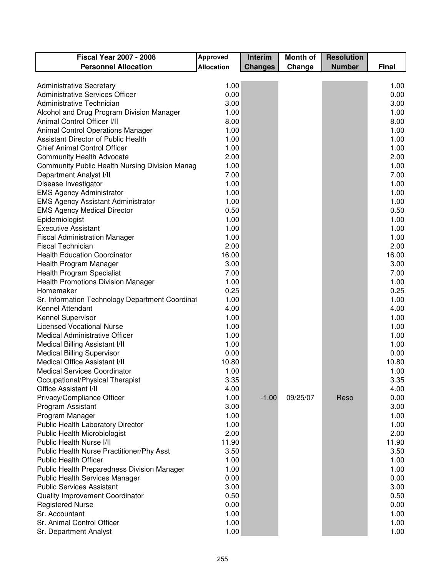| <b>Fiscal Year 2007 - 2008</b>                  | <b>Approved</b>   | <b>Interim</b> | <b>Month of</b> | <b>Resolution</b> |              |
|-------------------------------------------------|-------------------|----------------|-----------------|-------------------|--------------|
| <b>Personnel Allocation</b>                     | <b>Allocation</b> | <b>Changes</b> | Change          | <b>Number</b>     | <b>Final</b> |
|                                                 |                   |                |                 |                   |              |
| <b>Administrative Secretary</b>                 | 1.00              |                |                 |                   | 1.00         |
| <b>Administrative Services Officer</b>          | 0.00              |                |                 |                   | 0.00         |
| Administrative Technician                       | 3.00              |                |                 |                   | 3.00         |
| Alcohol and Drug Program Division Manager       | 1.00              |                |                 |                   | 1.00         |
| Animal Control Officer I/II                     | 8.00              |                |                 |                   | 8.00         |
| Animal Control Operations Manager               | 1.00              |                |                 |                   | 1.00         |
| Assistant Director of Public Health             | 1.00              |                |                 |                   | 1.00         |
| <b>Chief Animal Control Officer</b>             | 1.00              |                |                 |                   | 1.00         |
| <b>Community Health Advocate</b>                | 2.00              |                |                 |                   | 2.00         |
| Community Public Health Nursing Division Manag  | 1.00              |                |                 |                   | 1.00         |
| Department Analyst I/II                         | 7.00              |                |                 |                   | 7.00         |
| Disease Investigator                            | 1.00              |                |                 |                   | 1.00         |
| <b>EMS Agency Administrator</b>                 | 1.00              |                |                 |                   | 1.00         |
| <b>EMS Agency Assistant Administrator</b>       | 1.00              |                |                 |                   | 1.00         |
| <b>EMS Agency Medical Director</b>              | 0.50              |                |                 |                   | 0.50         |
| Epidemiologist                                  | 1.00              |                |                 |                   | 1.00         |
| <b>Executive Assistant</b>                      | 1.00              |                |                 |                   | 1.00         |
| <b>Fiscal Administration Manager</b>            | 1.00              |                |                 |                   | 1.00         |
| <b>Fiscal Technician</b>                        | 2.00              |                |                 |                   | 2.00         |
| <b>Health Education Coordinator</b>             | 16.00             |                |                 |                   | 16.00        |
| Health Program Manager                          | 3.00              |                |                 |                   | 3.00         |
| <b>Health Program Specialist</b>                | 7.00              |                |                 |                   | 7.00         |
| <b>Health Promotions Division Manager</b>       | 1.00              |                |                 |                   | 1.00         |
| Homemaker                                       | 0.25              |                |                 |                   | 0.25         |
| Sr. Information Technology Department Coordinal | 1.00              |                |                 |                   | 1.00         |
| Kennel Attendant                                | 4.00              |                |                 |                   | 4.00         |
| Kennel Supervisor                               | 1.00              |                |                 |                   | 1.00         |
| <b>Licensed Vocational Nurse</b>                | 1.00              |                |                 |                   | 1.00         |
| <b>Medical Administrative Officer</b>           | 1.00              |                |                 |                   | 1.00         |
| Medical Billing Assistant I/II                  | 1.00              |                |                 |                   | 1.00         |
| <b>Medical Billing Supervisor</b>               | 0.00              |                |                 |                   | 0.00         |
| Medical Office Assistant I/II                   | 10.80             |                |                 |                   | 10.80        |
| <b>Medical Services Coordinator</b>             | 1.00              |                |                 |                   | 1.00         |
| Occupational/Physical Therapist                 | 3.35              |                |                 |                   | 3.35         |
| <b>Office Assistant I/II</b>                    | 4.00              |                |                 |                   | 4.00         |
| Privacy/Compliance Officer                      | 1.00              | $-1.00$        | 09/25/07        | Reso              | 0.00         |
| Program Assistant                               | 3.00              |                |                 |                   | 3.00         |
| Program Manager                                 | 1.00              |                |                 |                   | 1.00         |
| Public Health Laboratory Director               | 1.00              |                |                 |                   | 1.00         |
| Public Health Microbiologist                    | 2.00              |                |                 |                   | 2.00         |
| Public Health Nurse I/II                        | 11.90             |                |                 |                   | 11.90        |
| Public Health Nurse Practitioner/Phy Asst       | 3.50              |                |                 |                   | 3.50         |
| <b>Public Health Officer</b>                    | 1.00              |                |                 |                   | 1.00         |
| Public Health Preparedness Division Manager     | 1.00              |                |                 |                   | 1.00         |
| <b>Public Health Services Manager</b>           | 0.00              |                |                 |                   | 0.00         |
| <b>Public Services Assistant</b>                | 3.00              |                |                 |                   | 3.00         |
| Quality Improvement Coordinator                 | 0.50              |                |                 |                   | 0.50         |
| <b>Registered Nurse</b>                         | 0.00              |                |                 |                   | 0.00         |
| Sr. Accountant                                  | 1.00              |                |                 |                   | 1.00         |
| Sr. Animal Control Officer                      | 1.00              |                |                 |                   | 1.00         |
| Sr. Department Analyst                          | 1.00              |                |                 |                   | 1.00         |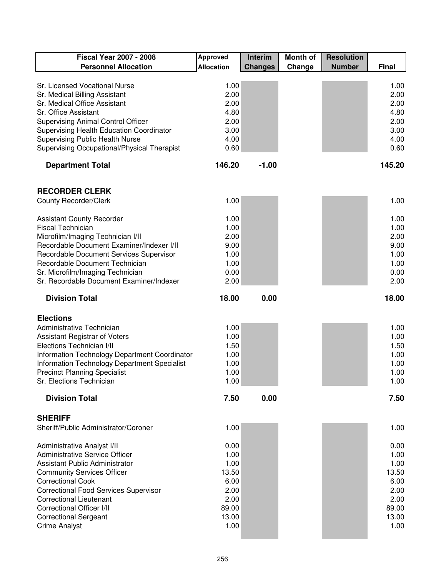| <b>Fiscal Year 2007 - 2008</b>                                                                                                                                                                                                                                                                                                                               | <b>Approved</b>                                                                 | Interim        | <b>Month of</b> | <b>Resolution</b> |                                                                                 |
|--------------------------------------------------------------------------------------------------------------------------------------------------------------------------------------------------------------------------------------------------------------------------------------------------------------------------------------------------------------|---------------------------------------------------------------------------------|----------------|-----------------|-------------------|---------------------------------------------------------------------------------|
| <b>Personnel Allocation</b>                                                                                                                                                                                                                                                                                                                                  | <b>Allocation</b>                                                               | <b>Changes</b> | Change          | <b>Number</b>     | <b>Final</b>                                                                    |
| Sr. Licensed Vocational Nurse<br>Sr. Medical Billing Assistant<br>Sr. Medical Office Assistant<br>Sr. Office Assistant                                                                                                                                                                                                                                       | 1.00<br>2.00<br>2.00<br>4.80                                                    |                |                 |                   | 1.00<br>2.00<br>2.00<br>4.80                                                    |
| <b>Supervising Animal Control Officer</b><br>Supervising Health Education Coordinator<br><b>Supervising Public Health Nurse</b><br>Supervising Occupational/Physical Therapist                                                                                                                                                                               | 2.00<br>3.00<br>4.00<br>0.60                                                    |                |                 |                   | 2.00<br>3.00<br>4.00<br>0.60                                                    |
| <b>Department Total</b>                                                                                                                                                                                                                                                                                                                                      | 146.20                                                                          | $-1.00$        |                 |                   | 145.20                                                                          |
| <b>RECORDER CLERK</b>                                                                                                                                                                                                                                                                                                                                        |                                                                                 |                |                 |                   |                                                                                 |
| <b>County Recorder/Clerk</b>                                                                                                                                                                                                                                                                                                                                 | 1.00                                                                            |                |                 |                   | 1.00                                                                            |
| <b>Assistant County Recorder</b><br><b>Fiscal Technician</b><br>Microfilm/Imaging Technician I/II<br>Recordable Document Examiner/Indexer I/II<br>Recordable Document Services Supervisor<br>Recordable Document Technician<br>Sr. Microfilm/Imaging Technician<br>Sr. Recordable Document Examiner/Indexer                                                  | 1.00<br>1.00<br>2.00<br>9.00<br>1.00<br>1.00<br>0.00<br>2.00                    |                |                 |                   | 1.00<br>1.00<br>2.00<br>9.00<br>1.00<br>1.00<br>0.00<br>2.00                    |
| <b>Division Total</b>                                                                                                                                                                                                                                                                                                                                        | 18.00                                                                           | 0.00           |                 |                   | 18.00                                                                           |
| <b>Elections</b><br>Administrative Technician<br>Assistant Registrar of Voters<br>Elections Technician I/II<br>Information Technology Department Coordinator<br>Information Technology Department Specialist<br><b>Precinct Planning Specialist</b><br>Sr. Elections Technician                                                                              | 1.00<br>1.00<br>1.50<br>1.00<br>1.00<br>1.00<br>1.00                            |                |                 |                   | 1.00<br>1.00<br>1.50<br>1.00<br>1.00<br>1.00<br>1.00                            |
| <b>Division Total</b>                                                                                                                                                                                                                                                                                                                                        | 7.50                                                                            | 0.00           |                 |                   | 7.50                                                                            |
| <b>SHERIFF</b><br>Sheriff/Public Administrator/Coroner                                                                                                                                                                                                                                                                                                       | 1.00                                                                            |                |                 |                   | 1.00                                                                            |
| Administrative Analyst I/II<br><b>Administrative Service Officer</b><br><b>Assistant Public Administrator</b><br><b>Community Services Officer</b><br><b>Correctional Cook</b><br><b>Correctional Food Services Supervisor</b><br><b>Correctional Lieutenant</b><br><b>Correctional Officer I/II</b><br><b>Correctional Sergeant</b><br><b>Crime Analyst</b> | 0.00<br>1.00<br>1.00<br>13.50<br>6.00<br>2.00<br>2.00<br>89.00<br>13.00<br>1.00 |                |                 |                   | 0.00<br>1.00<br>1.00<br>13.50<br>6.00<br>2.00<br>2.00<br>89.00<br>13.00<br>1.00 |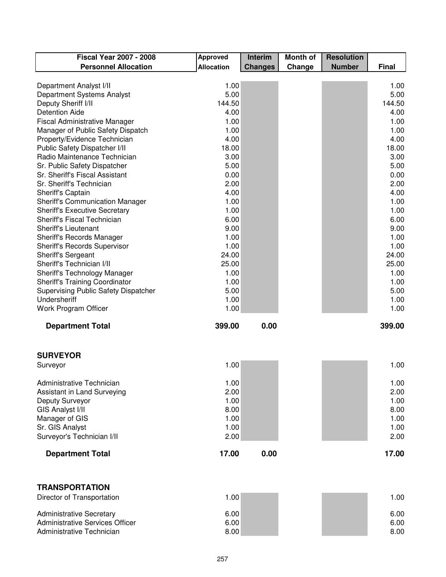| <b>Fiscal Year 2007 - 2008</b>                                 | <b>Approved</b>   | Interim        | <b>Month of</b> | <b>Resolution</b> |              |
|----------------------------------------------------------------|-------------------|----------------|-----------------|-------------------|--------------|
| <b>Personnel Allocation</b>                                    | <b>Allocation</b> | <b>Changes</b> | Change          | <b>Number</b>     | <b>Final</b> |
|                                                                |                   |                |                 |                   |              |
| Department Analyst I/II                                        | 1.00              |                |                 |                   | 1.00         |
| Department Systems Analyst                                     | 5.00              |                |                 |                   | 5.00         |
| Deputy Sheriff I/II                                            | 144.50            |                |                 |                   | 144.50       |
| <b>Detention Aide</b>                                          | 4.00              |                |                 |                   | 4.00         |
| <b>Fiscal Administrative Manager</b>                           | 1.00              |                |                 |                   | 1.00         |
| Manager of Public Safety Dispatch                              | 1.00              |                |                 |                   | 1.00         |
| Property/Evidence Technician                                   | 4.00              |                |                 |                   | 4.00         |
| Public Safety Dispatcher I/II                                  | 18.00             |                |                 |                   | 18.00        |
| Radio Maintenance Technician                                   | 3.00              |                |                 |                   | 3.00         |
| Sr. Public Safety Dispatcher<br>Sr. Sheriff's Fiscal Assistant | 5.00<br>0.00      |                |                 |                   | 5.00<br>0.00 |
| Sr. Sheriff's Technician                                       | 2.00              |                |                 |                   | 2.00         |
|                                                                | 4.00              |                |                 |                   | 4.00         |
| Sheriff's Captain<br><b>Sheriff's Communication Manager</b>    | 1.00              |                |                 |                   | 1.00         |
| <b>Sheriff's Executive Secretary</b>                           | 1.00              |                |                 |                   | 1.00         |
| Sheriff's Fiscal Technician                                    | 6.00              |                |                 |                   | 6.00         |
| <b>Sheriff's Lieutenant</b>                                    | 9.00              |                |                 |                   | 9.00         |
| Sheriff's Records Manager                                      | 1.00              |                |                 |                   | 1.00         |
| <b>Sheriff's Records Supervisor</b>                            | 1.00              |                |                 |                   | 1.00         |
| Sheriff's Sergeant                                             | 24.00             |                |                 |                   | 24.00        |
| Sheriff's Technician I/II                                      | 25.00             |                |                 |                   | 25.00        |
| Sheriff's Technology Manager                                   | 1.00              |                |                 |                   | 1.00         |
| <b>Sheriff's Training Coordinator</b>                          | 1.00              |                |                 |                   | 1.00         |
| Supervising Public Safety Dispatcher                           | 5.00              |                |                 |                   | 5.00         |
| Undersheriff                                                   | 1.00              |                |                 |                   | 1.00         |
| Work Program Officer                                           | 1.00              |                |                 |                   | 1.00         |
| <b>Department Total</b>                                        | 399.00            | 0.00           |                 |                   | 399.00       |
|                                                                |                   |                |                 |                   |              |
|                                                                |                   |                |                 |                   |              |
| <b>SURVEYOR</b>                                                |                   |                |                 |                   |              |
| Surveyor                                                       | 1.00              |                |                 |                   | 1.00         |
| Administrative Technician                                      | 1.00              |                |                 |                   | 1.00         |
| Assistant in Land Surveying                                    | 2.00              |                |                 |                   | 2.00         |
| Deputy Surveyor                                                | 1.00              |                |                 |                   | 1.00         |
| <b>GIS Analyst I/II</b>                                        | 8.00              |                |                 |                   | 8.00         |
| Manager of GIS                                                 | 1.00              |                |                 |                   | 1.00         |
| Sr. GIS Analyst                                                | 1.00              |                |                 |                   | 1.00         |
| Surveyor's Technician I/II                                     | 2.00              |                |                 |                   | 2.00         |
|                                                                |                   |                |                 |                   |              |
| <b>Department Total</b>                                        | 17.00             | 0.00           |                 |                   | 17.00        |
|                                                                |                   |                |                 |                   |              |
|                                                                |                   |                |                 |                   |              |

### **TRANSPORTATION** Director of Transportation and the control of the control of the control of the control of the control of the control of the control of the control of the control of the control of the control of the control of the control Administrative Secretary 6.00 6.00 Administrative Services Officer **6.00** 6.00 **6.00** 6.00 **6.00** 6.00 **6.00** 6.00 Administrative Technician 8.00 8.00 8.00 8.00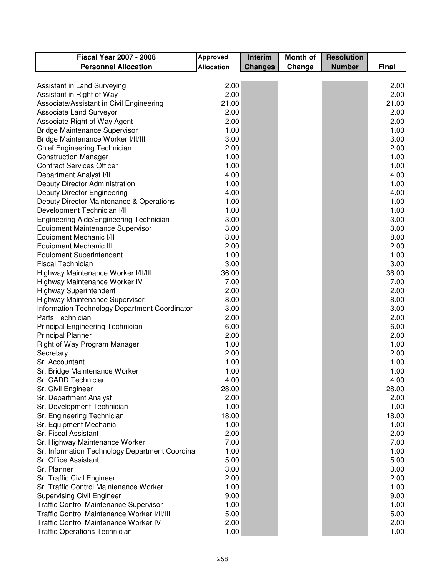| <b>Fiscal Year 2007 - 2008</b>                  | <b>Approved</b>   | Interim        | <b>Month of</b> | <b>Resolution</b> |              |
|-------------------------------------------------|-------------------|----------------|-----------------|-------------------|--------------|
| <b>Personnel Allocation</b>                     | <b>Allocation</b> | <b>Changes</b> | Change          | <b>Number</b>     | <b>Final</b> |
|                                                 |                   |                |                 |                   |              |
| Assistant in Land Surveying                     | 2.00              |                |                 |                   | 2.00         |
| Assistant in Right of Way                       | 2.00              |                |                 |                   | 2.00         |
| Associate/Assistant in Civil Engineering        | 21.00             |                |                 |                   | 21.00        |
| Associate Land Surveyor                         | 2.00              |                |                 |                   | 2.00         |
| Associate Right of Way Agent                    | 2.00              |                |                 |                   | 2.00         |
| <b>Bridge Maintenance Supervisor</b>            | 1.00              |                |                 |                   | 1.00         |
| Bridge Maintenance Worker I/II/III              | 3.00              |                |                 |                   | 3.00         |
| Chief Engineering Technician                    | 2.00              |                |                 |                   | 2.00         |
| <b>Construction Manager</b>                     | 1.00              |                |                 |                   | 1.00         |
| <b>Contract Services Officer</b>                | 1.00              |                |                 |                   | 1.00         |
| Department Analyst I/II                         | 4.00              |                |                 |                   | 4.00         |
| Deputy Director Administration                  | 1.00              |                |                 |                   | 1.00         |
| <b>Deputy Director Engineering</b>              | 4.00              |                |                 |                   | 4.00         |
| Deputy Director Maintenance & Operations        | 1.00              |                |                 |                   | 1.00         |
| Development Technician I/II                     | 1.00              |                |                 |                   | 1.00         |
| Engineering Aide/Engineering Technician         | 3.00              |                |                 |                   | 3.00         |
| <b>Equipment Maintenance Supervisor</b>         | 3.00              |                |                 |                   | 3.00         |
| Equipment Mechanic I/II                         | 8.00              |                |                 |                   | 8.00         |
| Equipment Mechanic III                          | 2.00              |                |                 |                   | 2.00         |
| <b>Equipment Superintendent</b>                 | 1.00              |                |                 |                   | 1.00         |
| <b>Fiscal Technician</b>                        | 3.00              |                |                 |                   | 3.00         |
| Highway Maintenance Worker I/II/III             | 36.00             |                |                 |                   | 36.00        |
| Highway Maintenance Worker IV                   | 7.00              |                |                 |                   | 7.00         |
| <b>Highway Superintendent</b>                   | 2.00              |                |                 |                   | 2.00         |
| Highway Maintenance Supervisor                  | 8.00              |                |                 |                   | 8.00         |
| Information Technology Department Coordinator   | 3.00              |                |                 |                   | 3.00         |
| Parts Technician                                | 2.00              |                |                 |                   | 2.00         |
| Principal Engineering Technician                | 6.00              |                |                 |                   | 6.00         |
| <b>Principal Planner</b>                        | 2.00              |                |                 |                   | 2.00         |
| Right of Way Program Manager                    | 1.00              |                |                 |                   | 1.00         |
| Secretary                                       | 2.00              |                |                 |                   | 2.00         |
| Sr. Accountant                                  | 1.00              |                |                 |                   | 1.00         |
| Sr. Bridge Maintenance Worker                   | 1.00              |                |                 |                   | 1.00         |
| Sr. CADD Technician                             | 4.00              |                |                 |                   | 4.00         |
| Sr. Civil Engineer                              | 28.00             |                |                 |                   | 28.00        |
| Sr. Department Analyst                          | 2.00              |                |                 |                   | 2.00         |
| Sr. Development Technician                      | 1.00              |                |                 |                   | 1.00         |
| Sr. Engineering Technician                      | 18.00             |                |                 |                   | 18.00        |
| Sr. Equipment Mechanic                          | 1.00              |                |                 |                   | 1.00         |
| Sr. Fiscal Assistant                            | 2.00              |                |                 |                   | 2.00         |
| Sr. Highway Maintenance Worker                  | 7.00              |                |                 |                   | 7.00         |
| Sr. Information Technology Department Coordinal | 1.00              |                |                 |                   | 1.00         |
| Sr. Office Assistant                            | 5.00              |                |                 |                   | 5.00         |
| Sr. Planner                                     | 3.00              |                |                 |                   | 3.00         |
| Sr. Traffic Civil Engineer                      | 2.00              |                |                 |                   | 2.00         |
| Sr. Traffic Control Maintenance Worker          | 1.00              |                |                 |                   | 1.00         |
| <b>Supervising Civil Engineer</b>               | 9.00              |                |                 |                   | 9.00         |
| <b>Traffic Control Maintenance Supervisor</b>   | 1.00              |                |                 |                   | 1.00         |
| Traffic Control Maintenance Worker I/II/III     | 5.00              |                |                 |                   | 5.00         |
| Traffic Control Maintenance Worker IV           | 2.00              |                |                 |                   | 2.00         |
| <b>Traffic Operations Technician</b>            | 1.00              |                |                 |                   | 1.00         |